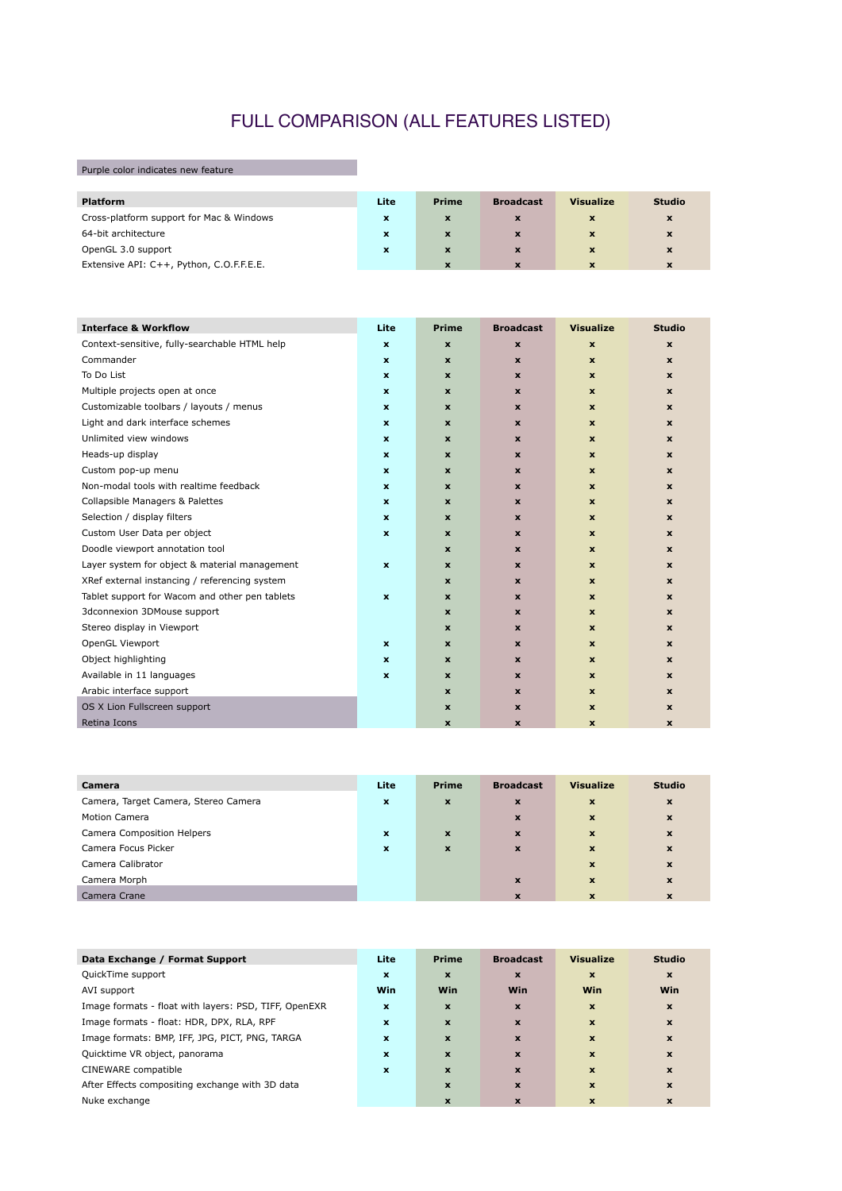## FULL COMPARISON (ALL FEATURES LISTED)

Purple color indicates new feature

| <b>Platform</b>                          | Lite         | <b>Prime</b> | <b>Broadcast</b> | <b>Visualize</b> | <b>Studio</b> |
|------------------------------------------|--------------|--------------|------------------|------------------|---------------|
| Cross-platform support for Mac & Windows | $\mathbf{x}$ | $\mathbf{x}$ | X                | <b>X</b>         | X             |
| 64-bit architecture                      | $\mathbf x$  | $\mathbf{x}$ | X                | $\mathbf{x}$     | $\mathbf x$   |
| OpenGL 3.0 support                       | $\mathbf x$  | $\mathbf{x}$ | X                | $\mathbf{x}$     | $\mathbf x$   |
| Extensive API: C++, Python, C.O.F.F.E.E. |              |              | X                |                  | $\mathbf x$   |

| <b>Interface &amp; Workflow</b>                | Lite                      | <b>Prime</b>              | <b>Broadcast</b>          | <b>Visualize</b>          | <b>Studio</b>             |
|------------------------------------------------|---------------------------|---------------------------|---------------------------|---------------------------|---------------------------|
| Context-sensitive, fully-searchable HTML help  | $\mathbf{x}$              | $\pmb{\mathsf{x}}$        | $\boldsymbol{\mathsf{x}}$ | $\boldsymbol{\mathsf{x}}$ | $\boldsymbol{\mathsf{x}}$ |
| Commander                                      | $\mathbf{x}$              | X                         | $\mathbf{x}$              | $\mathbf{x}$              | $\mathbf{x}$              |
| To Do List                                     | $\mathbf{x}$              | $\mathbf x$               | $\mathbf{x}$              | $\mathbf{x}$              | $\mathbf{x}$              |
| Multiple projects open at once                 | $\mathbf{x}$              | $\mathbf x$               | $\mathbf x$               | $\mathbf{x}$              | $\mathbf{x}$              |
| Customizable toolbars / layouts / menus        | $\mathbf x$               | $\mathbf x$               | $\mathbf x$               | $\boldsymbol{\mathsf{x}}$ | $\boldsymbol{\mathsf{x}}$ |
| Light and dark interface schemes               | X                         | $\mathbf x$               | $\boldsymbol{\mathsf{x}}$ | $\mathbf{x}$              | $\mathbf{x}$              |
| Unlimited view windows                         | $\pmb{\mathsf{x}}$        | $\mathbf x$               | $\mathbf{x}$              | $\boldsymbol{\mathsf{x}}$ | $\mathbf x$               |
| Heads-up display                               | $\mathbf{x}$              | $\mathbf x$               | $\mathbf{x}$              | $\mathbf{x}$              | $\mathbf{x}$              |
| Custom pop-up menu                             | $\mathbf{x}$              | X                         | $\mathbf{x}$              | $\mathbf{x}$              | $\mathbf{x}$              |
| Non-modal tools with realtime feedback         | $\boldsymbol{\mathsf{x}}$ | $\mathbf x$               | $\mathbf{x}$              | $\mathbf{x}$              | $\mathbf{x}$              |
| Collapsible Managers & Palettes                | $\mathbf{x}$              | $\mathbf x$               | $\mathbf{x}$              | $\mathbf{x}$              | $\mathbf{x}$              |
| Selection / display filters                    | $\boldsymbol{\mathsf{x}}$ | $\boldsymbol{\mathsf{x}}$ | $\mathbf{x}$              | $\boldsymbol{\mathsf{x}}$ | $\mathbf{x}$              |
| Custom User Data per object                    | $\pmb{\mathsf{x}}$        | $\mathbf x$               | $\mathbf{x}$              | $\mathbf{x}$              | $\mathbf x$               |
| Doodle viewport annotation tool                |                           | $\mathbf x$               | $\boldsymbol{\mathsf{x}}$ | $\mathbf{x}$              | $\mathbf{x}$              |
| Layer system for object & material management  | X                         | $\mathbf x$               | $\mathbf{x}$              | $\mathbf{x}$              | $\mathbf x$               |
| XRef external instancing / referencing system  |                           | $\mathbf x$               | $\boldsymbol{\mathsf{x}}$ | $\mathbf{x}$              | $\boldsymbol{\mathsf{x}}$ |
| Tablet support for Wacom and other pen tablets | $\mathbf{x}$              | $\mathbf x$               | $\mathbf{x}$              | $\mathbf{x}$              | $\mathbf{x}$              |
| 3dconnexion 3DMouse support                    |                           | $\mathbf x$               | $\mathbf{x}$              | $\mathbf{x}$              | $\mathbf{x}$              |
| Stereo display in Viewport                     |                           | $\mathbf x$               | $\mathbf{x}$              | $\mathbf{x}$              | $\mathbf x$               |
| OpenGL Viewport                                | $\mathbf{x}$              | $\mathbf x$               | $\mathbf{x}$              | $\mathbf{x}$              | $\mathbf{x}$              |
| Object highlighting                            | $\mathbf{x}$              | $\mathbf x$               | $\boldsymbol{\mathsf{x}}$ | $\mathbf{x}$              | $\mathbf{x}$              |
| Available in 11 languages                      | $\boldsymbol{\mathsf{x}}$ | $\mathbf x$               | $\mathbf{x}$              | $\mathbf{x}$              | $\mathbf x$               |
| Arabic interface support                       |                           | $\mathbf x$               | $\mathbf{x}$              | $\mathbf{x}$              | $\mathbf{x}$              |
| OS X Lion Fullscreen support                   |                           | $\mathbf x$               | $\boldsymbol{\mathsf{x}}$ | $\mathbf{x}$              | $\mathbf{x}$              |
| Retina Icons                                   |                           | $\boldsymbol{\mathsf{x}}$ | $\boldsymbol{\mathsf{x}}$ | $\mathbf x$               | $\mathbf x$               |

| <b>Camera</b>                        | Lite         | <b>Prime</b>              | <b>Broadcast</b>          | <b>Visualize</b>          | <b>Studio</b>             |
|--------------------------------------|--------------|---------------------------|---------------------------|---------------------------|---------------------------|
| Camera, Target Camera, Stereo Camera | $\mathbf x$  | $\boldsymbol{\mathsf{x}}$ | X                         | $\mathbf x$               | $\boldsymbol{\mathsf{x}}$ |
| <b>Motion Camera</b>                 |              |                           | $\boldsymbol{x}$          | $\mathbf{x}$              | $\mathbf{x}$              |
| Camera Composition Helpers           | $\mathbf{x}$ | $\boldsymbol{\mathsf{x}}$ | $\mathbf{x}$              | $\mathbf{x}$              | $\boldsymbol{\mathsf{x}}$ |
| Camera Focus Picker                  | $\mathbf{x}$ | $\boldsymbol{\mathsf{x}}$ | $\mathbf x$               | $\mathbf{x}$              | $\mathbf{x}$              |
| Camera Calibrator                    |              |                           |                           | $\mathbf{x}$              | $\mathbf{x}$              |
| Camera Morph                         |              |                           | $\boldsymbol{\mathsf{x}}$ | $\mathbf{x}$              | $\boldsymbol{\mathsf{x}}$ |
| Camera Crane                         |              |                           | X                         | $\boldsymbol{\mathsf{x}}$ | $\boldsymbol{\mathsf{x}}$ |

| Data Exchange / Format Support                        | Lite         | <b>Prime</b> | <b>Broadcast</b>          | <b>Visualize</b> | <b>Studio</b>             |
|-------------------------------------------------------|--------------|--------------|---------------------------|------------------|---------------------------|
| QuickTime support                                     | $\mathbf{x}$ | $\mathbf{x}$ | $\boldsymbol{\mathsf{x}}$ | X                | $\boldsymbol{\mathsf{x}}$ |
| AVI support                                           | Win          | Win          | Win                       | Win              | Win                       |
| Image formats - float with layers: PSD, TIFF, OpenEXR | $\mathbf{x}$ | $\mathbf{x}$ | $\boldsymbol{\mathsf{x}}$ | X                | $\boldsymbol{\mathsf{x}}$ |
| Image formats - float: HDR, DPX, RLA, RPF             | $\mathbf{x}$ | $\mathbf{x}$ | $\mathbf x$               | $\mathbf x$      | $\mathbf x$               |
| Image formats: BMP, IFF, JPG, PICT, PNG, TARGA        | $\mathbf x$  | $\mathbf x$  | $\mathbf x$               | $\mathbf x$      | $\mathbf x$               |
| Quicktime VR object, panorama                         | $\mathbf{x}$ | X            | $\mathbf x$               | $\mathbf x$      | $\boldsymbol{\mathsf{x}}$ |
| CINEWARE compatible                                   | $\mathbf{x}$ | X            | $\mathbf x$               | $\mathbf x$      | $\mathbf x$               |
| After Effects compositing exchange with 3D data       |              | X            | $\mathbf x$               | $\mathbf x$      | $\mathbf x$               |
| Nuke exchange                                         |              | $\mathbf{x}$ | $\mathbf{x}$              | $\mathbf x$      | X                         |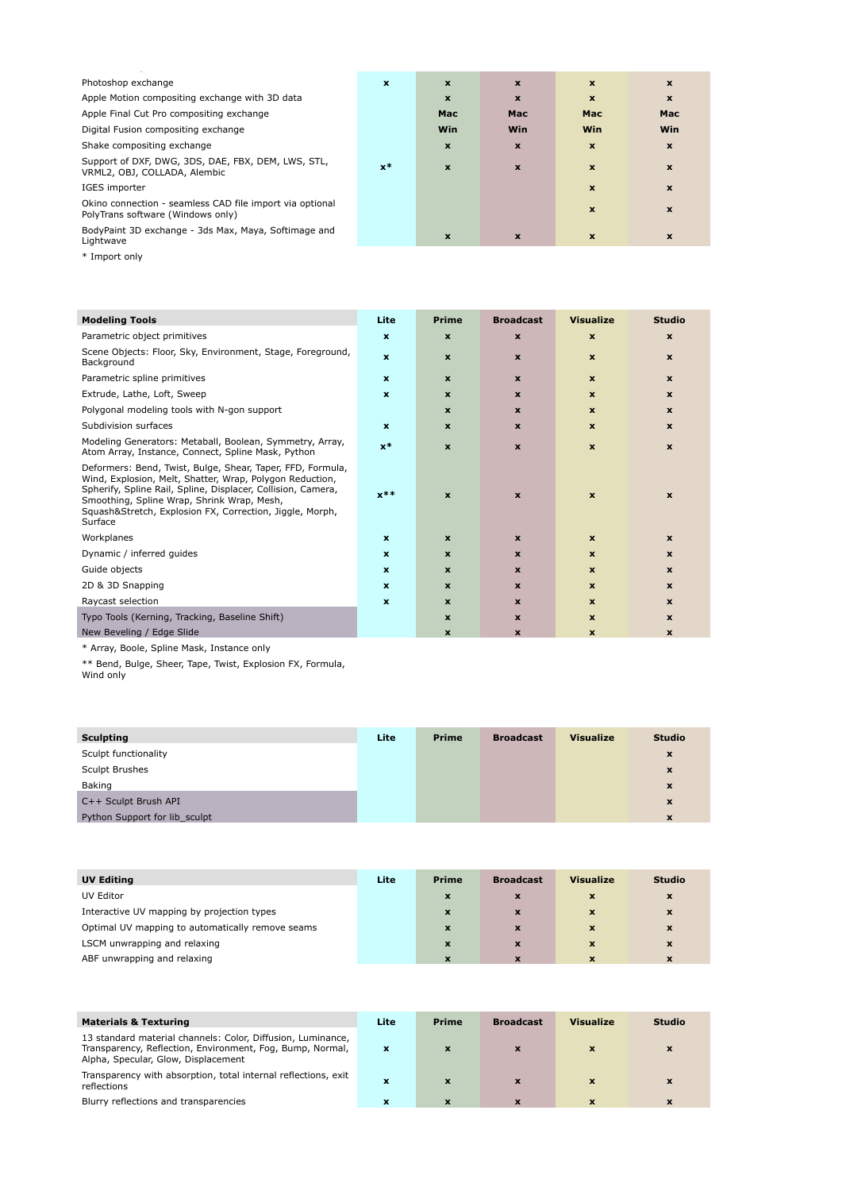| Photoshop exchange                                                                            | $\mathbf{x}$ | $\mathbf{x}$ | $\boldsymbol{\mathsf{x}}$ | $\mathbf{x}$ | $\boldsymbol{\mathsf{x}}$ |
|-----------------------------------------------------------------------------------------------|--------------|--------------|---------------------------|--------------|---------------------------|
| Apple Motion compositing exchange with 3D data                                                |              | $\mathbf{x}$ | $\boldsymbol{x}$          | $\mathbf x$  | $\mathbf{x}$              |
| Apple Final Cut Pro compositing exchange                                                      |              | Mac          | <b>Mac</b>                | <b>Mac</b>   | <b>Mac</b>                |
| Digital Fusion compositing exchange                                                           |              | <b>Win</b>   | Win                       | <b>Win</b>   | <b>Win</b>                |
| Shake compositing exchange                                                                    |              | $\mathbf{x}$ | $\boldsymbol{x}$          | $\mathbf{x}$ | $\mathbf{x}$              |
| Support of DXF, DWG, 3DS, DAE, FBX, DEM, LWS, STL,<br>VRML2, OBJ, COLLADA, Alembic            | $x^*$        | $\mathbf x$  | $\mathbf x$               | $\mathbf{x}$ | $\mathbf x$               |
| IGES importer                                                                                 |              |              |                           | $\mathbf{x}$ | $\mathbf x$               |
| Okino connection - seamless CAD file import via optional<br>PolyTrans software (Windows only) |              |              |                           | $\mathbf{x}$ | $\boldsymbol{\mathsf{x}}$ |
| BodyPaint 3D exchange - 3ds Max, Maya, Softimage and<br>Lightwave                             |              | $\mathbf x$  | X                         | $\mathbf{x}$ | $\boldsymbol{\mathsf{x}}$ |

\* Import only

| <b>Modeling Tools</b>                                                                                                                                                                                                                                                                                       | Lite                      | <b>Prime</b>              | <b>Broadcast</b>          | <b>Visualize</b>          | <b>Studio</b> |
|-------------------------------------------------------------------------------------------------------------------------------------------------------------------------------------------------------------------------------------------------------------------------------------------------------------|---------------------------|---------------------------|---------------------------|---------------------------|---------------|
| Parametric object primitives                                                                                                                                                                                                                                                                                | $\mathbf{x}$              | $\mathbf{x}$              | $\boldsymbol{\mathsf{x}}$ | $\mathbf{x}$              | $\mathbf x$   |
| Scene Objects: Floor, Sky, Environment, Stage, Foreground,<br>Background                                                                                                                                                                                                                                    | $\mathbf{x}$              | $\mathbf{x}$              | $\mathbf{x}$              | $\mathbf{x}$              | $\mathbf x$   |
| Parametric spline primitives                                                                                                                                                                                                                                                                                | $\mathbf{x}$              | $\mathbf{x}$              | $\mathbf{x}$              | $\mathbf{x}$              | $\mathbf{x}$  |
| Extrude, Lathe, Loft, Sweep                                                                                                                                                                                                                                                                                 | $\mathbf{x}$              | $\mathbf x$               | $\mathbf{x}$              | $\mathbf{x}$              | $\mathbf{x}$  |
| Polygonal modeling tools with N-gon support                                                                                                                                                                                                                                                                 |                           | $\mathbf x$               | $\mathbf x$               | $\mathbf{x}$              | $\mathbf{x}$  |
| Subdivision surfaces                                                                                                                                                                                                                                                                                        | $\mathbf{x}$              | $\boldsymbol{\mathsf{x}}$ | $\boldsymbol{\mathsf{x}}$ | $\mathbf{x}$              | $\mathbf x$   |
| Modeling Generators: Metaball, Boolean, Symmetry, Array,<br>Atom Array, Instance, Connect, Spline Mask, Python                                                                                                                                                                                              | $x^*$                     | $\mathbf{x}$              | $\mathbf{x}$              | $\mathbf{x}$              | $\mathbf{x}$  |
| Deformers: Bend, Twist, Bulge, Shear, Taper, FFD, Formula,<br>Wind, Explosion, Melt, Shatter, Wrap, Polygon Reduction,<br>Spherify, Spline Rail, Spline, Displacer, Collision, Camera,<br>Smoothing, Spline Wrap, Shrink Wrap, Mesh,<br>Squash&Stretch, Explosion FX, Correction, Jiggle, Morph,<br>Surface | $x**$                     | $\boldsymbol{\mathsf{x}}$ | $\boldsymbol{\mathsf{x}}$ | $\boldsymbol{\mathsf{x}}$ | $\mathbf x$   |
| Workplanes                                                                                                                                                                                                                                                                                                  | $\mathbf{x}$              | $\mathbf{x}$              | $\mathbf{x}$              | $\mathbf{x}$              | $\mathbf{x}$  |
| Dynamic / inferred guides                                                                                                                                                                                                                                                                                   | $\mathbf{x}$              | $\mathbf{x}$              | $\mathbf x$               | $\mathbf{x}$              | $\mathbf x$   |
| Guide objects                                                                                                                                                                                                                                                                                               | $\boldsymbol{\mathsf{x}}$ | $\boldsymbol{\mathsf{x}}$ | $\boldsymbol{\mathsf{x}}$ | $\mathbf{x}$              | $\mathbf{x}$  |
| 2D & 3D Snapping                                                                                                                                                                                                                                                                                            | $\mathbf x$               | $\boldsymbol{\mathsf{x}}$ | $\boldsymbol{\mathsf{x}}$ | $\mathbf{x}$              | $\mathbf x$   |
| Raycast selection                                                                                                                                                                                                                                                                                           | $\mathbf{x}$              | $\mathbf{x}$              | $\mathbf{x}$              | $\mathbf{x}$              | $\mathbf{x}$  |
| Typo Tools (Kerning, Tracking, Baseline Shift)                                                                                                                                                                                                                                                              |                           | $\mathbf x$               | $\mathbf x$               | $\mathbf{x}$              | $\mathbf{x}$  |
| New Beveling / Edge Slide                                                                                                                                                                                                                                                                                   |                           | $\mathbf x$               | $\mathbf x$               | $\mathbf{x}$              | $\mathbf x$   |

\* Array, Boole, Spline Mask, Instance only

\*\* Bend, Bulge, Sheer, Tape, Twist, Explosion FX, Formula,

Wind only

| <b>Sculpting</b>              | Lite | <b>Prime</b> | <b>Broadcast</b> | <b>Visualize</b> | <b>Studio</b>             |
|-------------------------------|------|--------------|------------------|------------------|---------------------------|
| Sculpt functionality          |      |              |                  |                  | $\boldsymbol{\mathsf{x}}$ |
| <b>Sculpt Brushes</b>         |      |              |                  |                  | X                         |
| <b>Baking</b>                 |      |              |                  |                  | X                         |
| C++ Sculpt Brush API          |      |              |                  |                  | X                         |
| Python Support for lib_sculpt |      |              |                  |                  | X                         |

| <b>UV Editing</b> | Lite | <b>Prime</b> | <b>Broadcast</b> | <b>Visualize</b> | <b>Studio</b> |
|-------------------|------|--------------|------------------|------------------|---------------|
| UV Editor         |      |              |                  |                  |               |

Interactive UV mapping by projection types Optimal UV mapping to automatically remove seams **LSCM** unwrapping and relaxing ABF unwrapping and relaxing

| $\sqrt{X}$   | $\mathbf{x}$ | $\mathbf{x}$ | $\mathbf{x}$ |
|--------------|--------------|--------------|--------------|
| $\mathbf{x}$ | $\mathbf{x}$ | $\mathbf{x}$ | $\mathbf{x}$ |
| $\mathbf{x}$ | $\mathbf{x}$ | $\mathbf{x}$ | $\mathbf{x}$ |
| $\mathbf{x}$ |              | $\mathbf{x}$ | <b>X</b>     |

| <b>Materials &amp; Texturing</b>                                                                                                                                | Lite         | <b>Prime</b>              | <b>Broadcast</b> | <b>Visualize</b> | <b>Studio</b> |
|-----------------------------------------------------------------------------------------------------------------------------------------------------------------|--------------|---------------------------|------------------|------------------|---------------|
| 13 standard material channels: Color, Diffusion, Luminance,<br>Transparency, Reflection, Environment, Fog, Bump, Normal,<br>Alpha, Specular, Glow, Displacement | X            | X                         |                  | X                |               |
| Transparency with absorption, total internal reflections, exit<br>reflections                                                                                   | $\mathbf{x}$ | $\mathbf x$               |                  | $\mathbf{x}$     | x             |
| Blurry reflections and transparencies                                                                                                                           | x            | $\boldsymbol{\mathsf{x}}$ |                  | X                | X             |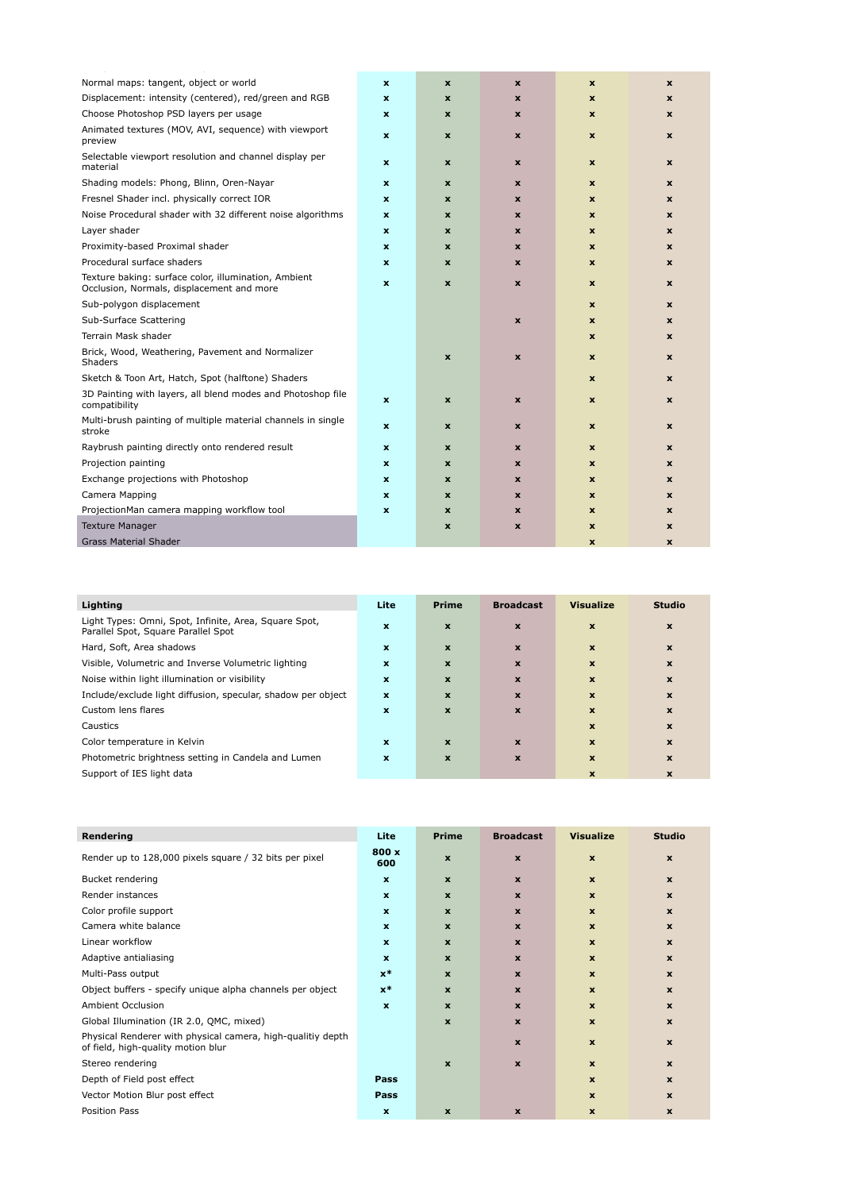| Normal maps: tangent, object or world                                                             | $\boldsymbol{\mathsf{x}}$ | $\pmb{\times}$            | $\boldsymbol{x}$   | $\mathbf{x}$ | $\mathbf x$  |
|---------------------------------------------------------------------------------------------------|---------------------------|---------------------------|--------------------|--------------|--------------|
| Displacement: intensity (centered), red/green and RGB                                             | $\boldsymbol{\mathsf{x}}$ | $\boldsymbol{\mathsf{x}}$ | $\mathbf x$        | $\mathbf x$  | $\mathbf x$  |
| Choose Photoshop PSD layers per usage                                                             | $\boldsymbol{\mathsf{x}}$ | $\boldsymbol{\mathsf{x}}$ | $\boldsymbol{x}$   | $\mathbf{x}$ | $\mathbf x$  |
| Animated textures (MOV, AVI, sequence) with viewport<br>preview                                   | $\mathbf x$               | $\mathbf x$               | $\boldsymbol{x}$   | $\mathbf{x}$ | $\mathbf x$  |
| Selectable viewport resolution and channel display per<br>material                                | $\boldsymbol{\mathsf{x}}$ | $\pmb{\times}$            | $\boldsymbol{x}$   | $\mathbf x$  | $\mathbf x$  |
| Shading models: Phong, Blinn, Oren-Nayar                                                          | $\mathbf x$               | $\boldsymbol{\mathsf{x}}$ | $\mathbf x$        | $\mathbf{x}$ | $\mathbf x$  |
| Fresnel Shader incl. physically correct IOR                                                       | $\mathbf x$               | $\boldsymbol{x}$          | $\mathbf x$        | $\mathbf{x}$ | $\mathbf x$  |
| Noise Procedural shader with 32 different noise algorithms                                        | $\mathbf x$               | $\mathbf x$               | $\mathbf x$        | $\mathbf{x}$ | $\mathbf x$  |
| Layer shader                                                                                      | $\mathbf x$               | $\boldsymbol{\mathsf{x}}$ | $\mathbf x$        | $\mathbf{x}$ | $\mathbf x$  |
| Proximity-based Proximal shader                                                                   | $\mathbf x$               | $\boldsymbol{\mathsf{x}}$ | $\mathbf x$        | $\mathbf{x}$ | $\mathbf x$  |
| Procedural surface shaders                                                                        | $\mathbf x$               | $\boldsymbol{\mathsf{x}}$ | $\boldsymbol{x}$   | $\mathbf{x}$ | $\mathbf x$  |
| Texture baking: surface color, illumination, Ambient<br>Occlusion, Normals, displacement and more | $\mathbf x$               | $\mathbf x$               | $\boldsymbol{x}$   | $\mathbf{x}$ | $\mathbf x$  |
| Sub-polygon displacement                                                                          |                           |                           |                    | $\mathbf x$  | $\mathbf x$  |
| Sub-Surface Scattering                                                                            |                           |                           | $\boldsymbol{x}$   | $\mathbf{x}$ | $\mathbf{x}$ |
| Terrain Mask shader                                                                               |                           |                           |                    | $\mathbf{x}$ | $\mathbf x$  |
| Brick, Wood, Weathering, Pavement and Normalizer<br>Shaders                                       |                           | $\pmb{\times}$            | $\pmb{\mathsf{x}}$ | $\mathbf{x}$ | $\mathbf x$  |
| Sketch & Toon Art, Hatch, Spot (halftone) Shaders                                                 |                           |                           |                    | $\mathbf x$  | $\mathbf x$  |
| 3D Painting with layers, all blend modes and Photoshop file<br>compatibility                      | $\mathbf x$               | $\boldsymbol{\mathsf{x}}$ | $\boldsymbol{x}$   | $\mathbf x$  | $\mathbf x$  |
| Multi-brush painting of multiple material channels in single<br>stroke                            | $\boldsymbol{\mathsf{x}}$ | $\pmb{\mathsf{x}}$        | $\mathbf x$        | $\mathbf x$  | $\mathbf x$  |
| Raybrush painting directly onto rendered result                                                   | $\boldsymbol{\mathsf{x}}$ | $\pmb{\times}$            | $\boldsymbol{x}$   | $\mathbf x$  | $\mathbf x$  |
| Projection painting                                                                               | $\boldsymbol{\mathsf{x}}$ | $\boldsymbol{\mathsf{x}}$ | $\mathbf x$        | $\mathbf x$  | $\mathbf x$  |
| Exchange projections with Photoshop                                                               | $\boldsymbol{\mathsf{x}}$ | $\boldsymbol{\mathsf{x}}$ | $\boldsymbol{x}$   | $\mathbf x$  | $\mathbf x$  |
| Camera Mapping                                                                                    | $\mathbf x$               | X                         | X                  | $\mathbf{x}$ | $\mathbf{x}$ |
| ProjectionMan camera mapping workflow tool                                                        | $\boldsymbol{\mathsf{x}}$ | X                         | $\boldsymbol{x}$   | $\mathbf x$  | $\mathbf x$  |
| <b>Texture Manager</b>                                                                            |                           | $\pmb{\times}$            | $\boldsymbol{x}$   | $\mathbf x$  | $\mathbf x$  |
| <b>Grass Material Shader</b>                                                                      |                           |                           |                    | $\mathbf{x}$ | $\mathbf{x}$ |

| Lighting                                                                                     | Lite         | <b>Prime</b> | <b>Broadcast</b>          | <b>Visualize</b>          | <b>Studio</b>             |
|----------------------------------------------------------------------------------------------|--------------|--------------|---------------------------|---------------------------|---------------------------|
| Light Types: Omni, Spot, Infinite, Area, Square Spot,<br>Parallel Spot, Square Parallel Spot | $\mathbf x$  | $\mathbf{x}$ | $\boldsymbol{\mathsf{x}}$ | $\mathbf{x}$              | $\boldsymbol{\mathsf{x}}$ |
| Hard, Soft, Area shadows                                                                     | $\mathbf{x}$ | X            | $\boldsymbol{\mathsf{x}}$ | $\mathbf{x}$              | $\boldsymbol{\mathsf{x}}$ |
| Visible, Volumetric and Inverse Volumetric lighting                                          | $\mathbf x$  | X            | $\boldsymbol{\mathsf{x}}$ | $\boldsymbol{\mathsf{x}}$ | $\boldsymbol{\mathsf{x}}$ |
| Noise within light illumination or visibility                                                | $\mathbf x$  | X            | $\boldsymbol{x}$          | $\boldsymbol{\mathsf{x}}$ | $\boldsymbol{\mathsf{x}}$ |
| Include/exclude light diffusion, specular, shadow per object                                 | $\mathbf x$  | X            | $\boldsymbol{\mathsf{x}}$ | $\boldsymbol{\mathsf{x}}$ | $\boldsymbol{\mathsf{x}}$ |
| Custom lens flares                                                                           | X            | $\mathbf{x}$ | $\boldsymbol{\mathsf{x}}$ | $\boldsymbol{\mathsf{x}}$ | $\boldsymbol{\mathsf{x}}$ |
| Caustics                                                                                     |              |              |                           | $\boldsymbol{\mathsf{x}}$ | $\mathbf x$               |
| Color temperature in Kelvin                                                                  | $\mathbf x$  | X            | $\mathbf x$               | $\mathbf{x}$              | $\mathbf x$               |
| Photometric brightness setting in Candela and Lumen                                          | X            | X            | X                         | $\boldsymbol{\mathsf{x}}$ | $\mathbf x$               |
| Support of IES light data                                                                    |              |              |                           | X                         | x                         |

| Rendering                                              | Lite         | <b>Prime</b> | <b>Broadcast</b>         | <b>Visualize</b> | <b>Studio</b>              |
|--------------------------------------------------------|--------------|--------------|--------------------------|------------------|----------------------------|
| Render up to 128,000 pixels square / 32 bits per pixel | 800 x<br>600 | X            | X                        | $\mathbf x$      | $\boldsymbol{\mathcal{L}}$ |
| Bucket rendering                                       | $\mathbf{x}$ | X            | X                        | $\mathbf{x}$     |                            |
| Render instances                                       |              |              | $\overline{\phantom{a}}$ | Y                |                            |

| Color profile support                                                                             | $\mathbf{x}$ | $\boldsymbol{\mathsf{x}}$ | $\mathbf{x}$ | $\boldsymbol{\mathsf{x}}$ | X                         |
|---------------------------------------------------------------------------------------------------|--------------|---------------------------|--------------|---------------------------|---------------------------|
| Camera white balance                                                                              | $\mathbf x$  | $\boldsymbol{\mathsf{x}}$ | $\mathbf{x}$ | $\mathbf{x}$              | $\boldsymbol{\mathsf{x}}$ |
| Linear workflow                                                                                   | $\mathbf{x}$ | $\boldsymbol{\mathsf{x}}$ | $\mathbf{x}$ | $\mathbf{x}$              | X                         |
| Adaptive antialiasing                                                                             | $\mathbf{x}$ | $\mathbf{x}$              | $\mathbf{x}$ | $\mathbf{x}$              | $\mathbf{x}$              |
| Multi-Pass output                                                                                 | $x^*$        | $\boldsymbol{\mathsf{x}}$ | $\mathbf{x}$ | $\mathbf x$               | X                         |
| Object buffers - specify unique alpha channels per object                                         | $x^*$        | $\boldsymbol{\mathsf{x}}$ | $\mathbf{x}$ | $\boldsymbol{\mathsf{x}}$ | $\mathbf{x}$              |
| Ambient Occlusion                                                                                 | $\mathbf x$  | $\boldsymbol{\mathsf{x}}$ | $\mathbf{x}$ | $\mathbf x$               | X                         |
| Global Illumination (IR 2.0, QMC, mixed)                                                          |              | $\boldsymbol{\mathsf{x}}$ | $\mathbf{x}$ | $\mathbf{x}$              | X                         |
| Physical Renderer with physical camera, high-qualitiy depth<br>of field, high-quality motion blur |              |                           | $\mathbf{x}$ | $\mathbf{x}$              | $\mathbf{x}$              |
| Stereo rendering                                                                                  |              | $\boldsymbol{\mathsf{x}}$ | $\mathbf{x}$ | $\boldsymbol{\mathsf{x}}$ | $\mathbf{x}$              |
| Depth of Field post effect                                                                        | <b>Pass</b>  |                           |              | $\boldsymbol{\mathsf{x}}$ | $\boldsymbol{x}$          |
| Vector Motion Blur post effect                                                                    | <b>Pass</b>  |                           |              | X                         | X                         |
| Position Pass                                                                                     | $\mathbf x$  | X                         | $\mathbf{x}$ | X                         | X                         |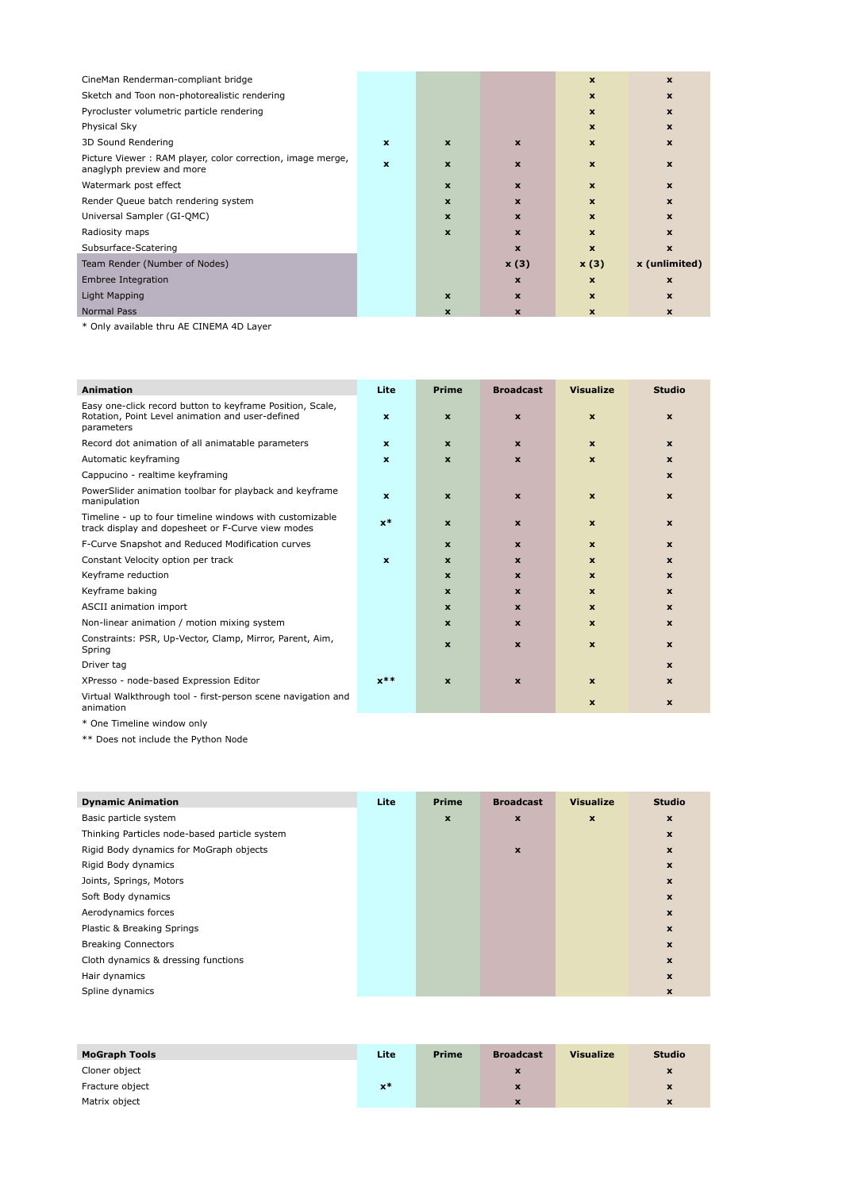| CineMan Renderman-compliant bridge                                                      |                           |              |             | $\boldsymbol{\mathsf{x}}$ | X             |
|-----------------------------------------------------------------------------------------|---------------------------|--------------|-------------|---------------------------|---------------|
| Sketch and Toon non-photorealistic rendering                                            |                           |              |             | $\boldsymbol{\mathsf{x}}$ | $\mathbf x$   |
| Pyrocluster volumetric particle rendering                                               |                           |              |             | $\boldsymbol{\mathsf{x}}$ | $\mathbf x$   |
| Physical Sky                                                                            |                           |              |             | $\mathbf{x}$              | X             |
| 3D Sound Rendering                                                                      | $\boldsymbol{\mathsf{x}}$ | $\mathbf{x}$ | $\mathbf x$ | $\boldsymbol{\mathsf{x}}$ | $\mathbf x$   |
| Picture Viewer: RAM player, color correction, image merge,<br>anaglyph preview and more | $\mathbf x$               | $\mathbf{x}$ | $\mathbf x$ | $\boldsymbol{\mathsf{x}}$ | $\mathbf x$   |
| Watermark post effect                                                                   |                           | $\mathbf{x}$ | $\mathbf x$ | $\mathbf{x}$              | $\mathbf x$   |
| Render Queue batch rendering system                                                     |                           | $\mathbf{x}$ | $\mathbf x$ | $\mathbf{x}$              | $\mathbf x$   |
| Universal Sampler (GI-QMC)                                                              |                           | $\mathbf{x}$ | $\mathbf x$ | $\boldsymbol{\mathsf{x}}$ | $\mathbf x$   |
| Radiosity maps                                                                          |                           | $\mathbf{x}$ | $\mathbf x$ | $\mathbf{x}$              | $\mathbf{x}$  |
| Subsurface-Scatering                                                                    |                           |              | $\mathbf x$ | $\mathbf{x}$              | $\mathbf x$   |
| Team Render (Number of Nodes)                                                           |                           |              | x(3)        | x(3)                      | x (unlimited) |
| Embree Integration                                                                      |                           |              | $\mathbf x$ | $\mathbf{x}$              | $\mathbf x$   |
| Light Mapping                                                                           |                           | $\mathbf{x}$ | $\mathbf x$ | $\boldsymbol{\mathsf{x}}$ | $\mathbf x$   |
| Normal Pass                                                                             |                           | X            | $\mathbf x$ | $\mathbf{x}$              | $\mathbf x$   |

\* Only available thru AE CINEMA 4D Layer

| <b>Animation</b>                                                                                                            | Lite         | <b>Prime</b>              | <b>Broadcast</b>          | <b>Visualize</b>          | <b>Studio</b>             |
|-----------------------------------------------------------------------------------------------------------------------------|--------------|---------------------------|---------------------------|---------------------------|---------------------------|
| Easy one-click record button to keyframe Position, Scale,<br>Rotation, Point Level animation and user-defined<br>parameters | $\mathbf{x}$ | $\boldsymbol{\mathsf{x}}$ | $\boldsymbol{\mathsf{x}}$ | $\mathbf x$               | $\mathbf{x}$              |
| Record dot animation of all animatable parameters                                                                           | $\mathbf{x}$ | $\mathbf{x}$              | $\mathbf{x}$              | $\mathbf x$               | $\mathbf{x}$              |
| Automatic keyframing                                                                                                        | $\mathbf x$  | $\mathbf{x}$              | $\mathbf{x}$              | $\mathbf{x}$              | $\mathbf{x}$              |
| Cappucino - realtime keyframing                                                                                             |              |                           |                           |                           | $\boldsymbol{\mathsf{x}}$ |
| PowerSlider animation toolbar for playback and keyframe<br>manipulation                                                     | $\mathbf{x}$ | $\mathbf{x}$              | $\mathbf x$               | $\mathbf x$               | $\mathbf{x}$              |
| Timeline - up to four timeline windows with customizable<br>track display and dopesheet or F-Curve view modes               | $x^*$        | $\mathbf x$               | $\mathbf x$               | $\mathbf x$               | $\mathbf{x}$              |
| F-Curve Snapshot and Reduced Modification curves                                                                            |              | $\boldsymbol{\mathsf{x}}$ | $\mathbf x$               | $\mathbf{x}$              | $\mathbf{x}$              |
| Constant Velocity option per track                                                                                          | $\mathbf{x}$ | $\mathbf{x}$              | $\mathbf{x}$              | $\mathbf{x}$              | $\mathbf{x}$              |
| Keyframe reduction                                                                                                          |              | $\mathbf{x}$              | $\mathbf{x}$              | $\mathbf{x}$              | $\mathbf{x}$              |
| Keyframe baking                                                                                                             |              | $\mathbf{x}$              | $\mathbf x$               | $\mathbf{x}$              | $\mathbf{x}$              |
| ASCII animation import                                                                                                      |              | $\mathbf{x}$              | $\mathbf{x}$              | $\mathbf{x}$              | $\mathbf{x}$              |
| Non-linear animation / motion mixing system                                                                                 |              | $\mathbf{x}$              | $\mathbf x$               | $\mathbf{x}$              | $\mathbf{x}$              |
| Constraints: PSR, Up-Vector, Clamp, Mirror, Parent, Aim,<br>Spring                                                          |              | $\mathbf{x}$              | $\boldsymbol{\mathsf{x}}$ | $\mathbf{x}$              | $\mathbf{x}$              |
| Driver tag                                                                                                                  |              |                           |                           |                           | $\mathbf{x}$              |
| XPresso - node-based Expression Editor                                                                                      | $x**$        | $\boldsymbol{\mathsf{x}}$ | $\boldsymbol{\mathsf{x}}$ | $\boldsymbol{\mathsf{x}}$ | $\mathbf{x}$              |
| Virtual Walkthrough tool - first-person scene navigation and<br>animation                                                   |              |                           |                           | $\mathbf{x}$              | $\boldsymbol{\mathsf{x}}$ |

\* One Timeline window only

\*\* Does not include the Python Node

| <b>Dynamic Animation</b>                      | Lite | <b>Prime</b>              | <b>Broadcast</b>          | <b>Visualize</b>          | <b>Studio</b>             |
|-----------------------------------------------|------|---------------------------|---------------------------|---------------------------|---------------------------|
| Basic particle system                         |      | $\boldsymbol{\mathsf{x}}$ | $\boldsymbol{\mathsf{x}}$ | $\boldsymbol{\mathsf{x}}$ | $\boldsymbol{\mathsf{x}}$ |
| Thinking Particles node-based particle system |      |                           |                           |                           | $\boldsymbol{\mathsf{x}}$ |
| Rigid Body dynamics for MoGraph objects       |      |                           | $\pmb{\mathsf{x}}$        |                           | $\boldsymbol{\mathsf{x}}$ |
| Rigid Body dynamics                           |      |                           |                           |                           | $\boldsymbol{\mathsf{x}}$ |
| Joints, Springs, Motors                       |      |                           |                           |                           | $\boldsymbol{\mathsf{x}}$ |
| Soft Body dynamics                            |      |                           |                           |                           | $\boldsymbol{\mathsf{x}}$ |
| Aerodynamics forces                           |      |                           |                           |                           | X                         |
| Plastic & Breaking Springs                    |      |                           |                           |                           | $\boldsymbol{\mathsf{x}}$ |
| <b>Breaking Connectors</b>                    |      |                           |                           |                           | $\mathbf{x}$              |
| Cloth dynamics & dressing functions           |      |                           |                           |                           | $\boldsymbol{\mathsf{x}}$ |
| Hair dynamics                                 |      |                           |                           |                           | X                         |
| Spline dynamics                               |      |                           |                           |                           | $\boldsymbol{\mathsf{x}}$ |

| <b>MoGraph Tools</b> | Lite           | <b>Prime</b> | <b>Broadcast</b> | <b>Visualize</b> | <b>Studio</b> |
|----------------------|----------------|--------------|------------------|------------------|---------------|
| Cloner object        |                |              | X                |                  | <b>X</b>      |
| Fracture object      | $\mathbf{x}^*$ |              | X                |                  |               |
| Matrix object        |                |              | X                |                  | $\mathbf x$   |